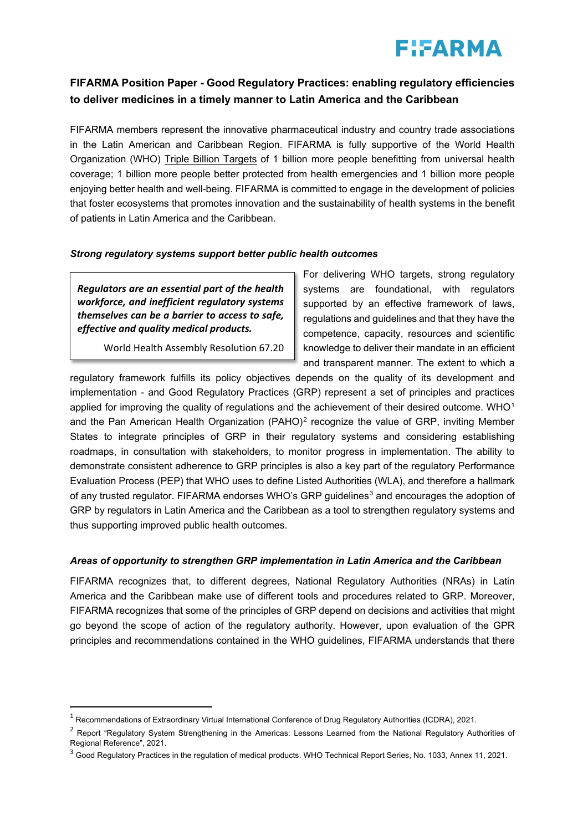# **F!FARMA**

## **FIFARMA Position Paper - Good Regulatory Practices: enabling regulatory efficiencies to deliver medicines in a timely manner to Latin America and the Caribbean**

FIFARMA members represent the innovative pharmaceutical industry and country trade associations in the Latin American and Caribbean Region. FIFARMA is fully supportive of the World Health Organization (WHO) [Triple Billion Targets](https://www.who.int/data/stories/the-triple-billion-targets-a-visual-summary-of-methods-to-deliver-impact) of 1 billion more people benefitting from universal health coverage; 1 billion more people better protected from health emergencies and 1 billion more people enjoying better health and well-being. FIFARMA is committed to engage in the development of policies that foster ecosystems that promotes innovation and the sustainability of health systems in the benefit of patients in Latin America and the Caribbean.

## *Strong regulatory systems support better public health outcomes*

*Regulators are an essential part of the health workforce, and inefficient regulatory systems themselves can be a barrier to access to safe, effective and quality medical products.*

<u>.</u>

World Health Assembly Resolution 67.20

For delivering WHO targets, strong regulatory systems are foundational, with regulators supported by an effective framework of laws, regulations and guidelines and that they have the competence, capacity, resources and scientific knowledge to deliver their mandate in an efficient and transparent manner. The extent to which a

regulatory framework fulfills its policy objectives depends on the quality of its development and implementation - and Good Regulatory Practices (GRP) represent a set of principles and practices applied for improving the quality of regulations and the achievement of their desired outcome. WHO<sup>[1](#page-0-0)</sup> and the Pan American Health Organization (PAHO)<sup>[2](#page-0-1)</sup> recognize the value of GRP, inviting Member States to integrate principles of GRP in their regulatory systems and considering establishing roadmaps, in consultation with stakeholders, to monitor progress in implementation. The ability to demonstrate consistent adherence to GRP principles is also a key part of the regulatory Performance Evaluation Process (PEP) that WHO uses to define Listed Authorities (WLA), and therefore a hallmark of any trusted regulator. FIFARMA endorses WHO's GRP guidelines<sup>[3](#page-0-2)</sup> and encourages the adoption of GRP by regulators in Latin America and the Caribbean as a tool to strengthen regulatory systems and thus supporting improved public health outcomes.

## *Areas of opportunity to strengthen GRP implementation in Latin America and the Caribbean*

FIFARMA recognizes that, to different degrees, National Regulatory Authorities (NRAs) in Latin America and the Caribbean make use of different tools and procedures related to GRP. Moreover, FIFARMA recognizes that some of the principles of GRP depend on decisions and activities that might go beyond the scope of action of the regulatory authority. However, upon evaluation of the GPR principles and recommendations contained in the WHO guidelines, FIFARMA understands that there

<span id="page-0-0"></span> $^{\rm 1}$  Recommendations of Extraordinary Virtual International Conference of Drug Regulatory Authorities (ICDRA), 2021.

<span id="page-0-1"></span><sup>&</sup>lt;sup>2</sup> Report "Regulatory System Strengthening in the Americas: Lessons Learned from the National Regulatory Authorities of Regional Reference", 2021.

<span id="page-0-2"></span><sup>&</sup>lt;sup>3</sup> Good Regulatory Practices in the regulation of medical products. WHO Technical Report Series, No. 1033, Annex 11, 2021.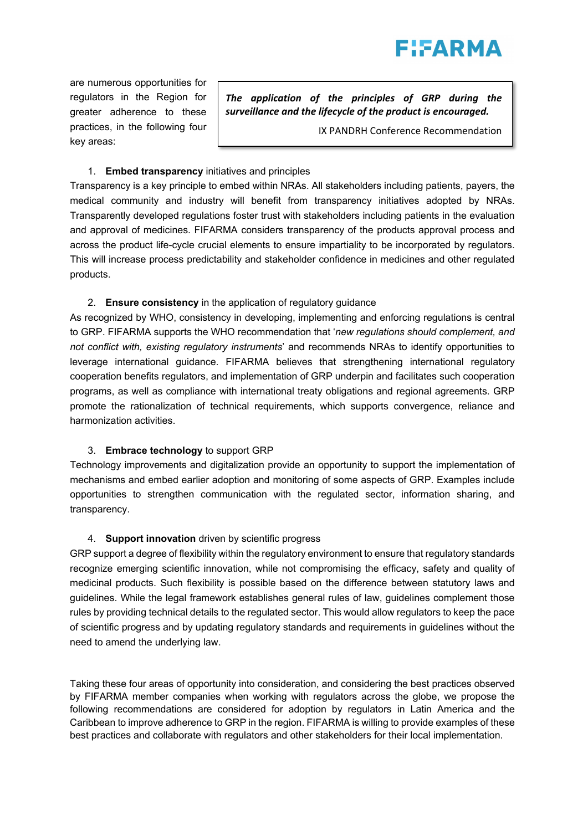

are numerous opportunities for regulators in the Region for greater adherence to these practices, in the following four key areas:

*The application of the principles of GRP during the surveillance and the lifecycle of the product is encouraged.* 

IX PANDRH Conference Recommendation

## 1. **Embed transparency** initiatives and principles

Transparency is a key principle to embed within NRAs. All stakeholders including patients, payers, the medical community and industry will benefit from transparency initiatives adopted by NRAs. Transparently developed regulations foster trust with stakeholders including patients in the evaluation and approval of medicines. FIFARMA considers transparency of the products approval process and across the product life-cycle crucial elements to ensure impartiality to be incorporated by regulators. This will increase process predictability and stakeholder confidence in medicines and other regulated products.

#### 2. **Ensure consistency** in the application of regulatory guidance

As recognized by WHO, consistency in developing, implementing and enforcing regulations is central to GRP. FIFARMA supports the WHO recommendation that '*new regulations should complement, and not conflict with, existing regulatory instruments*' and recommends NRAs to identify opportunities to leverage international guidance. FIFARMA believes that strengthening international regulatory cooperation benefits regulators, and implementation of GRP underpin and facilitates such cooperation programs, as well as compliance with international treaty obligations and regional agreements. GRP promote the rationalization of technical requirements, which supports convergence, reliance and harmonization activities.

#### 3. **Embrace technology** to support GRP

Technology improvements and digitalization provide an opportunity to support the implementation of mechanisms and embed earlier adoption and monitoring of some aspects of GRP. Examples include opportunities to strengthen communication with the regulated sector, information sharing, and transparency.

#### 4. **Support innovation** driven by scientific progress

GRP support a degree of flexibility within the regulatory environment to ensure that regulatory standards recognize emerging scientific innovation, while not compromising the efficacy, safety and quality of medicinal products. Such flexibility is possible based on the difference between statutory laws and guidelines. While the legal framework establishes general rules of law, guidelines complement those rules by providing technical details to the regulated sector. This would allow regulators to keep the pace of scientific progress and by updating regulatory standards and requirements in guidelines without the need to amend the underlying law.

Taking these four areas of opportunity into consideration, and considering the best practices observed by FIFARMA member companies when working with regulators across the globe, we propose the following recommendations are considered for adoption by regulators in Latin America and the Caribbean to improve adherence to GRP in the region. FIFARMA is willing to provide examples of these best practices and collaborate with regulators and other stakeholders for their local implementation.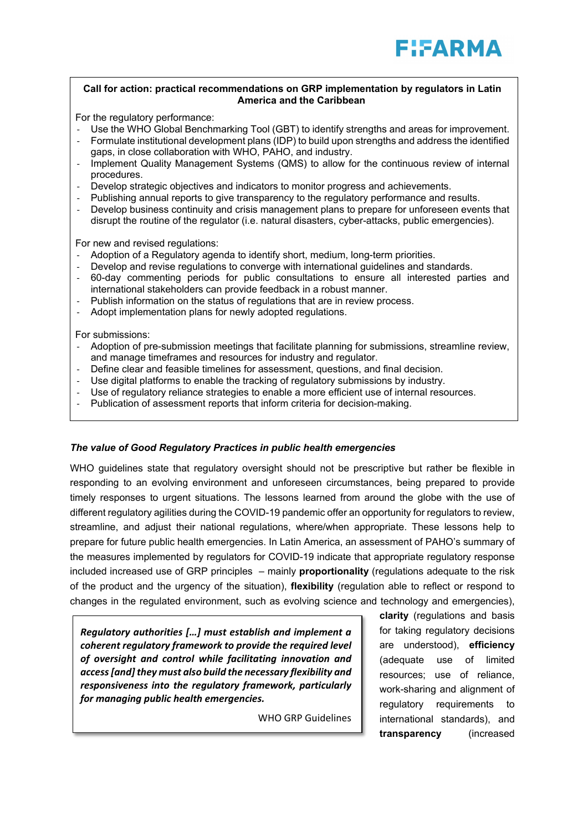#### **Call for action: practical recommendations on GRP implementation by regulators in Latin America and the Caribbean**

For the regulatory performance:

- Use the WHO Global Benchmarking Tool (GBT) to identify strengths and areas for improvement.
- Formulate institutional development plans (IDP) to build upon strengths and address the identified gaps, in close collaboration with WHO, PAHO, and industry.
- Implement Quality Management Systems (QMS) to allow for the continuous review of internal procedures.
- Develop strategic objectives and indicators to monitor progress and achievements.
- Publishing annual reports to give transparency to the regulatory performance and results.
- Develop business continuity and crisis management plans to prepare for unforeseen events that disrupt the routine of the regulator (i.e. natural disasters, cyber-attacks, public emergencies).

For new and revised regulations:

- Adoption of a Regulatory agenda to identify short, medium, long-term priorities.
- Develop and revise regulations to converge with international guidelines and standards.
- 60-day commenting periods for public consultations to ensure all interested parties and international stakeholders can provide feedback in a robust manner.
- Publish information on the status of regulations that are in review process.
- Adopt implementation plans for newly adopted regulations.

For submissions:

- Adoption of pre-submission meetings that facilitate planning for submissions, streamline review, and manage timeframes and resources for industry and regulator.
- Define clear and feasible timelines for assessment, questions, and final decision.
- Use digital platforms to enable the tracking of regulatory submissions by industry.
- Use of regulatory reliance strategies to enable a more efficient use of internal resources.
- Publication of assessment reports that inform criteria for decision-making.

#### *The value of Good Regulatory Practices in public health emergencies*

WHO guidelines state that regulatory oversight should not be prescriptive but rather be flexible in responding to an evolving environment and unforeseen circumstances, being prepared to provide timely responses to urgent situations. The lessons learned from around the globe with the use of different regulatory agilities during the COVID-19 pandemic offer an opportunity for regulators to review, streamline, and adjust their national regulations, where/when appropriate. These lessons help to prepare for future public health emergencies. In Latin America, an assessment of PAHO's summary of the measures implemented by regulators for COVID-19 indicate that appropriate regulatory response included increased use of GRP principles – mainly **proportionality** (regulations adequate to the risk of the product and the urgency of the situation), **flexibility** (regulation able to reflect or respond to changes in the regulated environment, such as evolving science and technology and emergencies),

*Regulatory authorities […] must establish and implement a coherent regulatory framework to provide the required level of oversight and control while facilitating innovation and access [and] they must also build the necessary flexibility and responsiveness into the regulatory framework, particularly for managing public health emergencies.*

WHO GRP Guidelines

**clarity** (regulations and basis for taking regulatory decisions are understood), **efficiency** (adequate use of limited resources; use of reliance, work-sharing and alignment of regulatory requirements to international standards), and **transparency** (increased